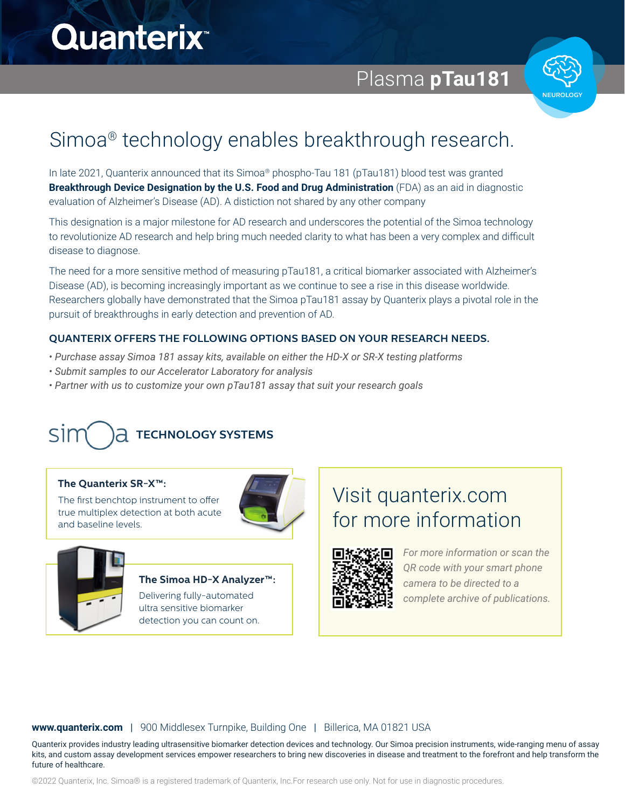# **Quanterix**

Simoa® Bead Technology FAQs

Plasma **pTau181**



## Simoa<sup>®</sup> technology enables breakthrough research. encoded Simoa beads, specific for a unique biomarker

In late 2021, Quanterix announced that its Simoa® phospho-Tau 181 (pTau181) blood test was granted Breakthrough Device Designation by the U.S. Food and Drug Administration (FDA) as an aid in diagnostic evaluation of Alzheimer's Disease (AD). A distiction not shared by any other company

Answershappen and the simon assignment of the second state of the second state of the second state of the second state of the second state of the second state of the second state of the second state  $\Delta E$ to revolutionize AD research and help bring much needed clarity to what has been a very complex and difficult disease to diagnose. This designation is a major milestone for AD research and underscores the potential of the Simoa technology

The need for a more sensitive method of measuring pTau181, a critical biomarker associated with Alzheimer's effects via higher different continue include of measuring predicting a children continue associated manifestic.<br>Disease (AD), is becoming increasingly important as we continue to see a rise in this disease worldwide. Researchers globally have demonstrated that the Simoa pTau181 assay by Quanterix plays a pivotal role in the pursuit of breakthroughs in early detection and prevention of AD.

## **QUANTERIX OFFERS THE FOLLOWING OPTIONS BASED ON YOUR RESEARCH NEEDS.**

- $\frac{1}{\sqrt{2}}$ polyclonal antibodies as well. Simoa assays have also *• Purchase assay Simoa 181 assay kits, available on either the HD-X or SR-X testing platforms*
- Submit samples to our Accelerator Laboratory for analysis
- Partner with us to customize your own pTau181 assay that suit your research goals

# sim **TECHNOLOGY SYSTEMS** SIMOA BEAD TECHNOLOGY SYSTEMS

## **The Quanterix SR-X™:**

The first benchtop instrument to offer The first benchtop instrument to offer true multiplex detection at both acute true multiplex detection at both acute and baseline levels. and baseline levels.





### **The Simoa HD-X Analyzer™:**

Delivering fully-automated ultra sensitive biomarker detection you can count on.

# Visit quanterix.com for more information



*For more information or scan the QR code with your smart phone camera to be directed to a complete archive of publications.*

### **www.quanterix.com** | 900 Middlesex Turnpike, Building One | Billerica, MA 01821 USA

kits, and custom assay development services empower researchers to bring new discoveries in disease and treatment to the forefront and help transform the<br>future of healthcare Quanterix provides industry leading ultrasensitive biomarker detection devices and technology. Our Simoa precision instruments, wide-ranging menu of assay future of healthcare.

©2022 Quanterix, Inc. Simoa® is a registered trademark of Quanterix, Inc.For research use only. Not for use in diagnostic procedures.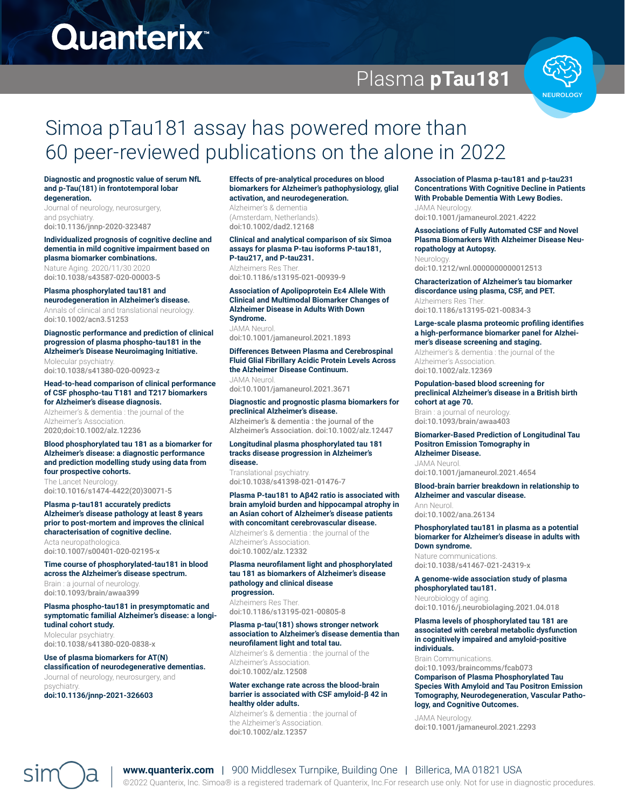# **Quanterix**

# Plasma **pTau181**



# Simoa pTau181 assay has powered more than 60 peer-reviewed publications on the alone in 2022

**Diagnostic and prognostic value of serum NfL and p-Tau(181) in frontotemporal lobar degeneration.**

Journal of neurology, neurosurgery, and psychiatry. doi:10.1136/jnnp-2020-323487

### **Individualized prognosis of cognitive decline and dementia in mild cognitive impairment based on plasma biomarker combinations.**

Nature Aging. 2020/11/30 2020 doi:10.1038/s43587-020-00003-5

### **Plasma phosphorylated tau181 and**

**neurodegeneration in Alzheimer's disease.**  Annals of clinical and translational neurology. doi:10.1002/acn3.51253

### **Diagnostic performance and prediction of clinical progression of plasma phospho-tau181 in the Alzheimer's Disease Neuroimaging Initiative.**  Molecular psychiatry.

doi:10.1038/s41380-020-00923-z

### **Head-to-head comparison of clinical performance of CSF phospho-tau T181 and T217 biomarkers for Alzheimer's disease diagnosis.**

Alzheimer's & dementia : the journal of the Alzheimer's Association. 2020;doi:10.1002/alz.12236

### **Blood phosphorylated tau 181 as a biomarker for Alzheimer's disease: a diagnostic performance and prediction modelling study using data from four prospective cohorts.**

The Lancet Neurology. doi:10.1016/s1474-4422(20)30071-5

### **Plasma p-tau181 accurately predicts Alzheimer's disease pathology at least 8 years prior to post-mortem and improves the clinical characterisation of cognitive decline.**

Acta neuropathologica. doi:10.1007/s00401-020-02195-x

### **Time course of phosphorylated-tau181 in blood across the Alzheimer's disease spectrum.**

Brain : a journal of neurology. doi:10.1093/brain/awaa399

### **Plasma phospho-tau181 in presymptomatic and symptomatic familial Alzheimer's disease: a longitudinal cohort study.**

Molecular psychiatry. doi:10.1038/s41380-020-0838-x

## **Use of plasma biomarkers for AT(N)**

**classification of neurodegenerative dementias.**  Journal of neurology, neurosurgery, and psychiatry.

**doi:10.1136/jnnp-2021-326603**

### **Effects of pre-analytical procedures on blood biomarkers for Alzheimer's pathophysiology, glial activation, and neurodegeneration.**

Alzheimer's & dementia (Amsterdam, Netherlands). doi:10.1002/dad2.12168

### **Clinical and analytical comparison of six Simoa assays for plasma P-tau isoforms P-tau181, P-tau217, and P-tau231.**  Alzheimers Res Ther

doi:10.1186/s13195-021-00939-9

### **Association of Apolipoprotein Eε4 Allele With Clinical and Multimodal Biomarker Changes of Alzheimer Disease in Adults With Down Syndrome.**

JAMA Neurol. doi:10.1001/jamaneurol.2021.1893

### **Differences Between Plasma and Cerebrospinal Fluid Glial Fibrillary Acidic Protein Levels Across the Alzheimer Disease Continuum.**

JAMA Neurol. doi:10.1001/jamaneurol.2021.3671

### **Diagnostic and prognostic plasma biomarkers for preclinical Alzheimer's disease.**

Alzheimer's & dementia : the journal of the Alzheimer's Association. doi:10.1002/alz.12447

### **Longitudinal plasma phosphorylated tau 181 tracks disease progression in Alzheimer's disease.**

Translational psychiatry. doi:10.1038/s41398-021-01476-7

### **Plasma P-tau181 to Aβ42 ratio is associated with brain amyloid burden and hippocampal atrophy in an Asian cohort of Alzheimer's disease patients with concomitant cerebrovascular disease.**

Alzheimer's & dementia : the journal of the Alzheimer's Association. doi:10.1002/alz.12332

### **Plasma neurofilament light and phosphorylated tau 181 as biomarkers of Alzheimer's disease pathology and clinical disease progression.**

Alzheimers Res Ther. doi:10.1186/s13195-021-00805-8

### **Plasma p-tau(181) shows stronger network association to Alzheimer's disease dementia than neurofilament light and total tau.**

Alzheimer's & dementia : the journal of the Alzheimer's Association. doi:10.1002/alz.12508

### **Water exchange rate across the blood-brain barrier is associated with CSF amyloid-β 42 in healthy older adults.**

Alzheimer's & dementia : the journal of the Alzheimer's Association. doi:10.1002/alz.12357

**Association of Plasma p-tau181 and p-tau231 Concentrations With Cognitive Decline in Patients With Probable Dementia With Lewy Bodies.**  JAMA Neurology.

doi:10.1001/jamaneurol.2021.4222

### **Associations of Fully Automated CSF and Novel Plasma Biomarkers With Alzheimer Disease Neuropathology at Autopsy.**

Neurology. doi:10.1212/wnl.0000000000012513

### **Characterization of Alzheimer's tau biomarker discordance using plasma, CSF, and PET.**  Alzheimers Res Ther. doi:10.1186/s13195-021-00834-3

### **Large-scale plasma proteomic profiling identifies a high-performance biomarker panel for Alzheimer's disease screening and staging.**

Alzheimer's & dementia : the journal of the Alzheimer's Association. doi:10.1002/alz.12369

### **Population-based blood screening for preclinical Alzheimer's disease in a British birth cohort at age 70.**

Brain : a journal of neurology. doi:10.1093/brain/awaa403

### **Biomarker-Based Prediction of Longitudinal Tau Positron Emission Tomography in Alzheimer Disease.**

JAMA Neurol. doi:10.1001/jamaneurol.2021.4654

### **Blood-brain barrier breakdown in relationship to Alzheimer and vascular disease.**

Ann Neurol. doi:10.1002/ana.26134

### **Phosphorylated tau181 in plasma as a potential biomarker for Alzheimer's disease in adults with Down syndrome.**

Nature communications. doi:10.1038/s41467-021-24319-x

### **A genome-wide association study of plasma phosphorylated tau181.**

Neurobiology of aging. doi:10.1016/j.neurobiolaging.2021.04.018

### **Plasma levels of phosphorylated tau 181 are associated with cerebral metabolic dysfunction in cognitively impaired and amyloid-positive individuals.**

Brain Communications. doi:10.1093/braincomms/fcab073 **Comparison of Plasma Phosphorylated Tau Species With Amyloid and Tau Positron Emission Tomography, Neurodegeneration, Vascular Pathology, and Cognitive Outcomes.** 

JAMA Neurology. doi:10.1001/jamaneurol.2021.2293



### **www.quanterix.com** | 900 Middlesex Turnpike, Building One | Billerica, MA 01821 USA

©2022 Quanterix, Inc. Simoa® is a registered trademark of Quanterix, Inc.For research use only. Not for use in diagnostic procedures.